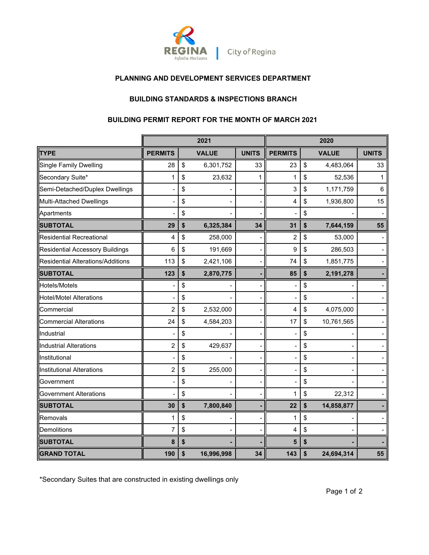

## **PLANNING AND DEVELOPMENT SERVICES DEPARTMENT**

## **BUILDING STANDARDS & INSPECTIONS BRANCH**

#### **BUILDING PERMIT REPORT FOR THE MONTH OF MARCH 2021**

|                                          |                         | 2021             |              | 2020           |    |              |              |
|------------------------------------------|-------------------------|------------------|--------------|----------------|----|--------------|--------------|
| <b>TYPE</b>                              | <b>PERMITS</b>          | <b>VALUE</b>     | <b>UNITS</b> | <b>PERMITS</b> |    | <b>VALUE</b> | <b>UNITS</b> |
| <b>Single Family Dwelling</b>            | 28                      | \$<br>6,301,752  | 33           | 23             | \$ | 4,483,064    | 33           |
| Secondary Suite*                         | 1                       | \$<br>23,632     | 1            | 1              | \$ | 52,536       | 1            |
| Semi-Detached/Duplex Dwellings           |                         | \$               |              | 3              | \$ | 1,171,759    | 6            |
| Multi-Attached Dwellings                 |                         | \$               |              | 4              | \$ | 1,936,800    | 15           |
| Apartments                               |                         | \$               |              |                | \$ |              |              |
| <b>SUBTOTAL</b>                          | 29                      | \$<br>6,325,384  | 34           | 31             | \$ | 7,644,159    | 55           |
| <b>Residential Recreational</b>          | 4                       | \$<br>258,000    |              | $\overline{2}$ | \$ | 53,000       |              |
| <b>Residential Accessory Buildings</b>   | 6                       | \$<br>191,669    |              | 9              | \$ | 286,503      |              |
| <b>Residential Alterations/Additions</b> | 113                     | \$<br>2,421,106  |              | 74             | \$ | 1,851,775    |              |
| <b>SUBTOTAL</b>                          | 123                     | \$<br>2,870,775  |              | 85             | \$ | 2,191,278    |              |
| Hotels/Motels                            |                         | \$               |              |                | \$ |              |              |
| <b>Hotel/Motel Alterations</b>           |                         | \$               |              |                | \$ |              |              |
| Commercial                               | $\overline{c}$          | \$<br>2,532,000  |              | 4              | \$ | 4,075,000    |              |
| <b>Commercial Alterations</b>            | 24                      | \$<br>4,584,203  |              | 17             | \$ | 10,761,565   |              |
| Industrial                               |                         | \$               |              |                | \$ |              |              |
| <b>Industrial Alterations</b>            | $\overline{\mathbf{c}}$ | \$<br>429,637    |              |                | \$ |              |              |
| Institutional                            |                         | \$               |              |                | \$ |              |              |
| <b>Institutional Alterations</b>         | $\overline{c}$          | \$<br>255,000    |              |                | \$ |              |              |
| Government                               |                         | \$               |              |                | \$ |              |              |
| <b>Government Alterations</b>            |                         | \$               |              | 1              | \$ | 22,312       |              |
| <b>SUBTOTAL</b>                          | 30                      | \$<br>7,800,840  |              | 22             | \$ | 14,858,877   |              |
| Removals                                 | 1                       | \$               |              | 1              | \$ |              |              |
| <b>Demolitions</b>                       | 7                       | \$               |              | 4              | \$ |              |              |
| <b>SUBTOTAL</b>                          | 8                       | \$               |              | 5              | \$ |              |              |
| <b>GRAND TOTAL</b>                       | 190                     | \$<br>16,996,998 | 34           | 143            | \$ | 24,694,314   | 55           |

\*Secondary Suites that are constructed in existing dwellings only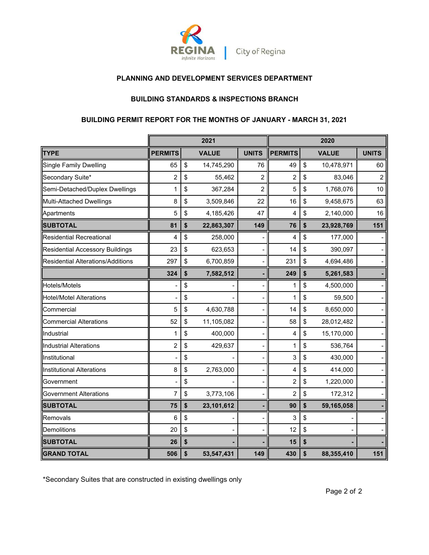

### **PLANNING AND DEVELOPMENT SERVICES DEPARTMENT**

#### **BUILDING STANDARDS & INSPECTIONS BRANCH**

# **BUILDING PERMIT REPORT FOR THE MONTHS OF JANUARY - MARCH 31, 2021**

|                                        |                | 2021             |                | 2020           |    |              |                |
|----------------------------------------|----------------|------------------|----------------|----------------|----|--------------|----------------|
| <b>TYPE</b>                            | <b>PERMITS</b> | <b>VALUE</b>     | <b>UNITS</b>   | <b>PERMITS</b> |    | <b>VALUE</b> | <b>UNITS</b>   |
| Single Family Dwelling                 | 65             | \$<br>14,745,290 | 76             | 49             | \$ | 10,478,971   | 60             |
| Secondary Suite*                       | $\overline{c}$ | \$<br>55,462     | 2              | $\overline{2}$ | \$ | 83,046       | $\overline{c}$ |
| Semi-Detached/Duplex Dwellings         | 1              | \$<br>367,284    | $\overline{2}$ | 5              | \$ | 1,768,076    | 10             |
| Multi-Attached Dwellings               | 8              | \$<br>3,509,846  | 22             | 16             | \$ | 9,458,675    | 63             |
| Apartments                             | 5              | \$<br>4,185,426  | 47             | 4              | \$ | 2,140,000    | 16             |
| <b>SUBTOTAL</b>                        | 81             | \$<br>22,863,307 | 149            | 76             | \$ | 23,928,769   | 151            |
| <b>Residential Recreational</b>        | 4              | \$<br>258,000    |                | 4              | \$ | 177,000      |                |
| <b>Residential Accessory Buildings</b> | 23             | \$<br>623,653    |                | 14             | \$ | 390,097      |                |
| Residential Alterations/Additions      | 297            | \$<br>6,700,859  |                | 231            | \$ | 4,694,486    |                |
|                                        | 324            | \$<br>7,582,512  |                | 249            | \$ | 5,261,583    |                |
| Hotels/Motels                          |                | \$               |                | 1              | \$ | 4,500,000    |                |
| <b>Hotel/Motel Alterations</b>         |                | \$               |                | 1              | \$ | 59,500       |                |
| Commercial                             | 5              | \$<br>4,630,788  |                | 14             | \$ | 8,650,000    |                |
| <b>Commercial Alterations</b>          | 52             | \$<br>11,105,082 |                | 58             | \$ | 28,012,482   |                |
| Industrial                             | 1              | \$<br>400,000    |                | 4              | \$ | 15,170,000   |                |
| <b>Industrial Alterations</b>          | $\overline{c}$ | \$<br>429,637    |                | 1              | \$ | 536,764      |                |
| Institutional                          |                | \$               |                | 3              | \$ | 430,000      |                |
| Institutional Alterations              | 8              | \$<br>2,763,000  |                | 4              | \$ | 414,000      |                |
| Government                             |                | \$               |                | $\overline{c}$ | \$ | 1,220,000    |                |
| <b>Government Alterations</b>          | $\overline{7}$ | \$<br>3,773,106  |                | $\overline{2}$ | \$ | 172,312      |                |
| <b>SUBTOTAL</b>                        | 75             | \$<br>23,101,612 |                | 90             | \$ | 59,165,058   |                |
| Removals                               | 6              | \$               |                | 3              | \$ |              |                |
| Demolitions                            | 20             | \$               |                | 12             | \$ |              |                |
| <b>SUBTOTAL</b>                        | 26             | \$               |                | 15             | \$ |              |                |
| <b>GRAND TOTAL</b>                     | 506            | \$<br>53,547,431 | 149            | 430            | \$ | 88,355,410   | 151            |

\*Secondary Suites that are constructed in existing dwellings only